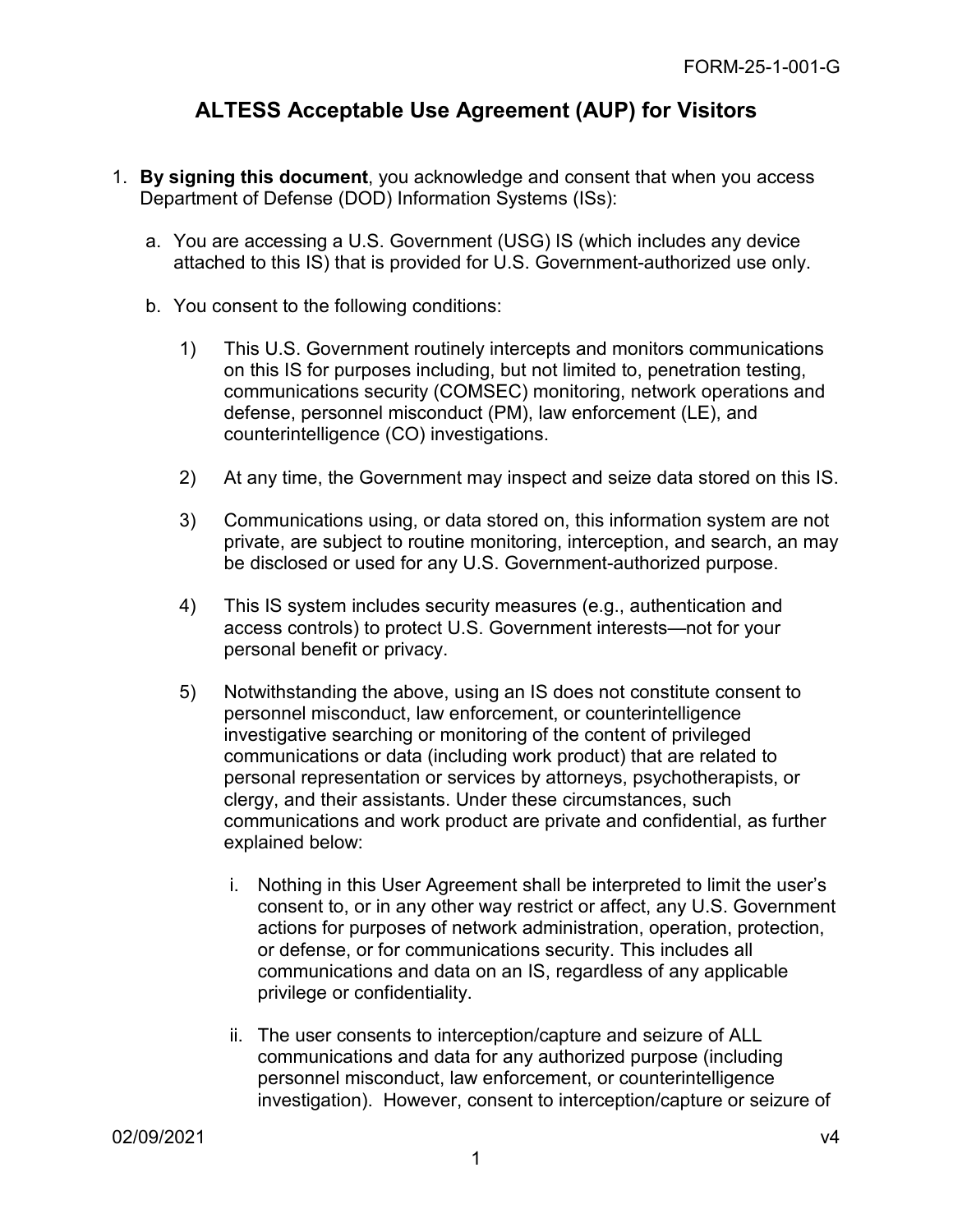## **ALTESS Acceptable Use Agreement (AUP) for Visitors**

- 1. **By signing this document**, you acknowledge and consent that when you access Department of Defense (DOD) Information Systems (ISs):
	- a. You are accessing a U.S. Government (USG) IS (which includes any device attached to this IS) that is provided for U.S. Government-authorized use only.
	- b. You consent to the following conditions:
		- 1) This U.S. Government routinely intercepts and monitors communications on this IS for purposes including, but not limited to, penetration testing, communications security (COMSEC) monitoring, network operations and defense, personnel misconduct (PM), law enforcement (LE), and counterintelligence (CO) investigations.
		- 2) At any time, the Government may inspect and seize data stored on this IS.
		- 3) Communications using, or data stored on, this information system are not private, are subject to routine monitoring, interception, and search, an may be disclosed or used for any U.S. Government-authorized purpose.
		- 4) This IS system includes security measures (e.g., authentication and access controls) to protect U.S. Government interests—not for your personal benefit or privacy.
		- 5) Notwithstanding the above, using an IS does not constitute consent to personnel misconduct, law enforcement, or counterintelligence investigative searching or monitoring of the content of privileged communications or data (including work product) that are related to personal representation or services by attorneys, psychotherapists, or clergy, and their assistants. Under these circumstances, such communications and work product are private and confidential, as further explained below:
			- i. Nothing in this User Agreement shall be interpreted to limit the user's consent to, or in any other way restrict or affect, any U.S. Government actions for purposes of network administration, operation, protection, or defense, or for communications security. This includes all communications and data on an IS, regardless of any applicable privilege or confidentiality.
			- ii. The user consents to interception/capture and seizure of ALL communications and data for any authorized purpose (including personnel misconduct, law enforcement, or counterintelligence investigation). However, consent to interception/capture or seizure of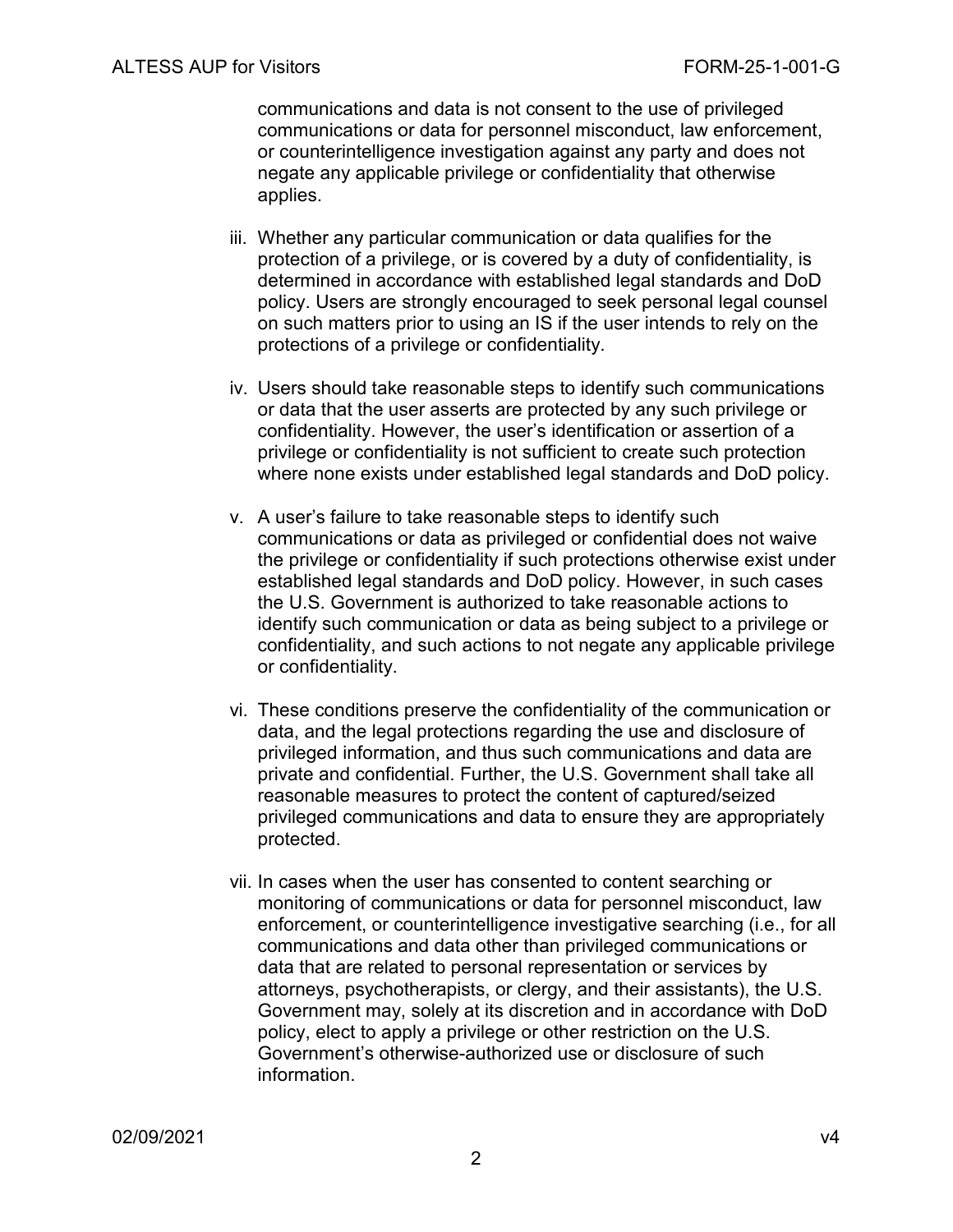communications and data is not consent to the use of privileged communications or data for personnel misconduct, law enforcement, or counterintelligence investigation against any party and does not negate any applicable privilege or confidentiality that otherwise applies.

- iii. Whether any particular communication or data qualifies for the protection of a privilege, or is covered by a duty of confidentiality, is determined in accordance with established legal standards and DoD policy. Users are strongly encouraged to seek personal legal counsel on such matters prior to using an IS if the user intends to rely on the protections of a privilege or confidentiality.
- iv. Users should take reasonable steps to identify such communications or data that the user asserts are protected by any such privilege or confidentiality. However, the user's identification or assertion of a privilege or confidentiality is not sufficient to create such protection where none exists under established legal standards and DoD policy.
- v. A user's failure to take reasonable steps to identify such communications or data as privileged or confidential does not waive the privilege or confidentiality if such protections otherwise exist under established legal standards and DoD policy. However, in such cases the U.S. Government is authorized to take reasonable actions to identify such communication or data as being subject to a privilege or confidentiality, and such actions to not negate any applicable privilege or confidentiality.
- vi. These conditions preserve the confidentiality of the communication or data, and the legal protections regarding the use and disclosure of privileged information, and thus such communications and data are private and confidential. Further, the U.S. Government shall take all reasonable measures to protect the content of captured/seized privileged communications and data to ensure they are appropriately protected.
- vii. In cases when the user has consented to content searching or monitoring of communications or data for personnel misconduct, law enforcement, or counterintelligence investigative searching (i.e., for all communications and data other than privileged communications or data that are related to personal representation or services by attorneys, psychotherapists, or clergy, and their assistants), the U.S. Government may, solely at its discretion and in accordance with DoD policy, elect to apply a privilege or other restriction on the U.S. Government's otherwise-authorized use or disclosure of such information.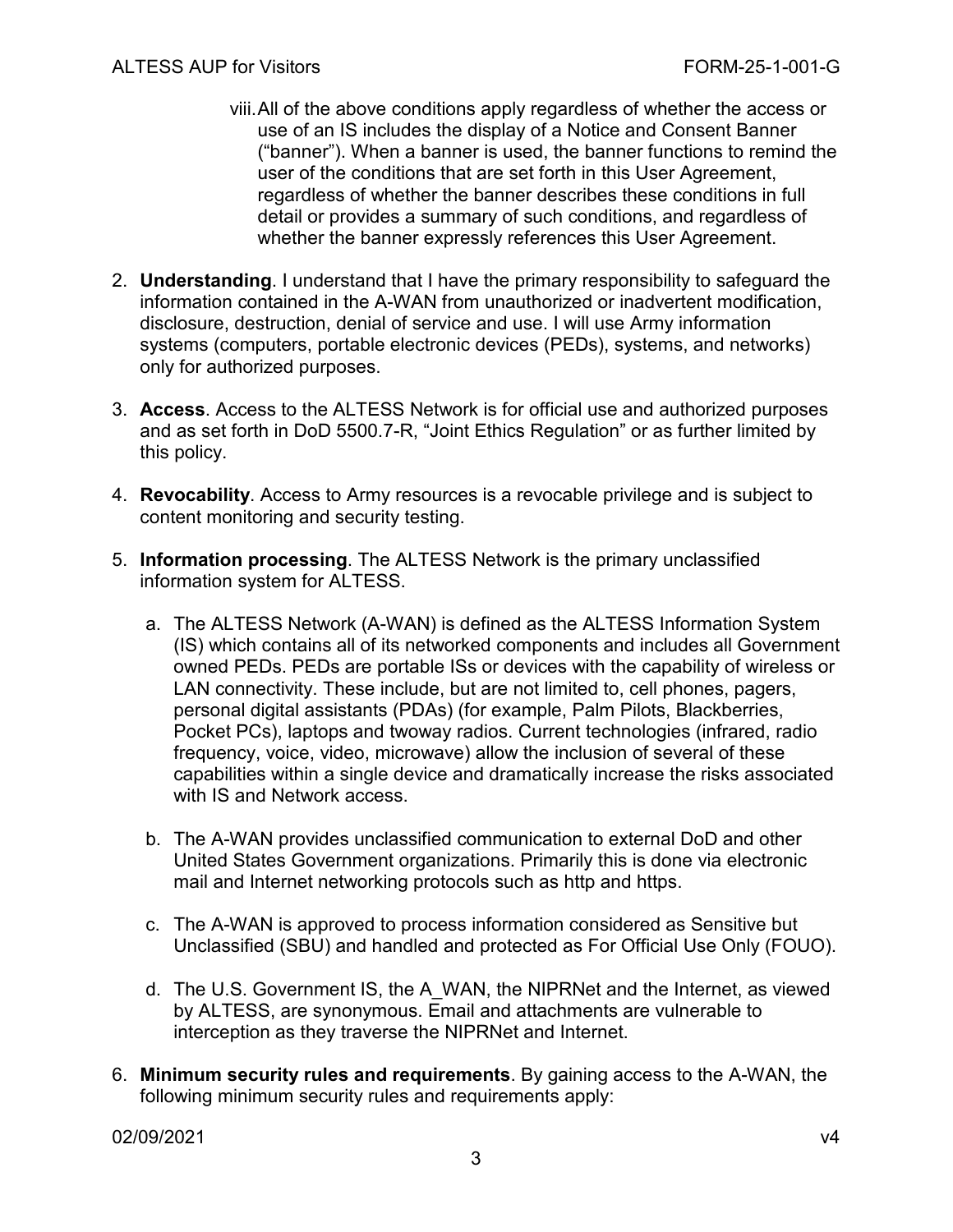- viii.All of the above conditions apply regardless of whether the access or use of an IS includes the display of a Notice and Consent Banner ("banner"). When a banner is used, the banner functions to remind the user of the conditions that are set forth in this User Agreement, regardless of whether the banner describes these conditions in full detail or provides a summary of such conditions, and regardless of whether the banner expressly references this User Agreement.
- 2. **Understanding**. I understand that I have the primary responsibility to safeguard the information contained in the A-WAN from unauthorized or inadvertent modification, disclosure, destruction, denial of service and use. I will use Army information systems (computers, portable electronic devices (PEDs), systems, and networks) only for authorized purposes.
- 3. **Access**. Access to the ALTESS Network is for official use and authorized purposes and as set forth in DoD 5500.7-R, "Joint Ethics Regulation" or as further limited by this policy.
- 4. **Revocability**. Access to Army resources is a revocable privilege and is subject to content monitoring and security testing.
- 5. **Information processing**. The ALTESS Network is the primary unclassified information system for ALTESS.
	- a. The ALTESS Network (A-WAN) is defined as the ALTESS Information System (IS) which contains all of its networked components and includes all Government owned PEDs. PEDs are portable ISs or devices with the capability of wireless or LAN connectivity. These include, but are not limited to, cell phones, pagers, personal digital assistants (PDAs) (for example, Palm Pilots, Blackberries, Pocket PCs), laptops and twoway radios. Current technologies (infrared, radio frequency, voice, video, microwave) allow the inclusion of several of these capabilities within a single device and dramatically increase the risks associated with IS and Network access.
	- b. The A-WAN provides unclassified communication to external DoD and other United States Government organizations. Primarily this is done via electronic mail and Internet networking protocols such as http and https.
	- c. The A-WAN is approved to process information considered as Sensitive but Unclassified (SBU) and handled and protected as For Official Use Only (FOUO).
	- d. The U.S. Government IS, the A\_WAN, the NIPRNet and the Internet, as viewed by ALTESS, are synonymous. Email and attachments are vulnerable to interception as they traverse the NIPRNet and Internet.
- 6. **Minimum security rules and requirements**. By gaining access to the A-WAN, the following minimum security rules and requirements apply:

02/09/2021 v4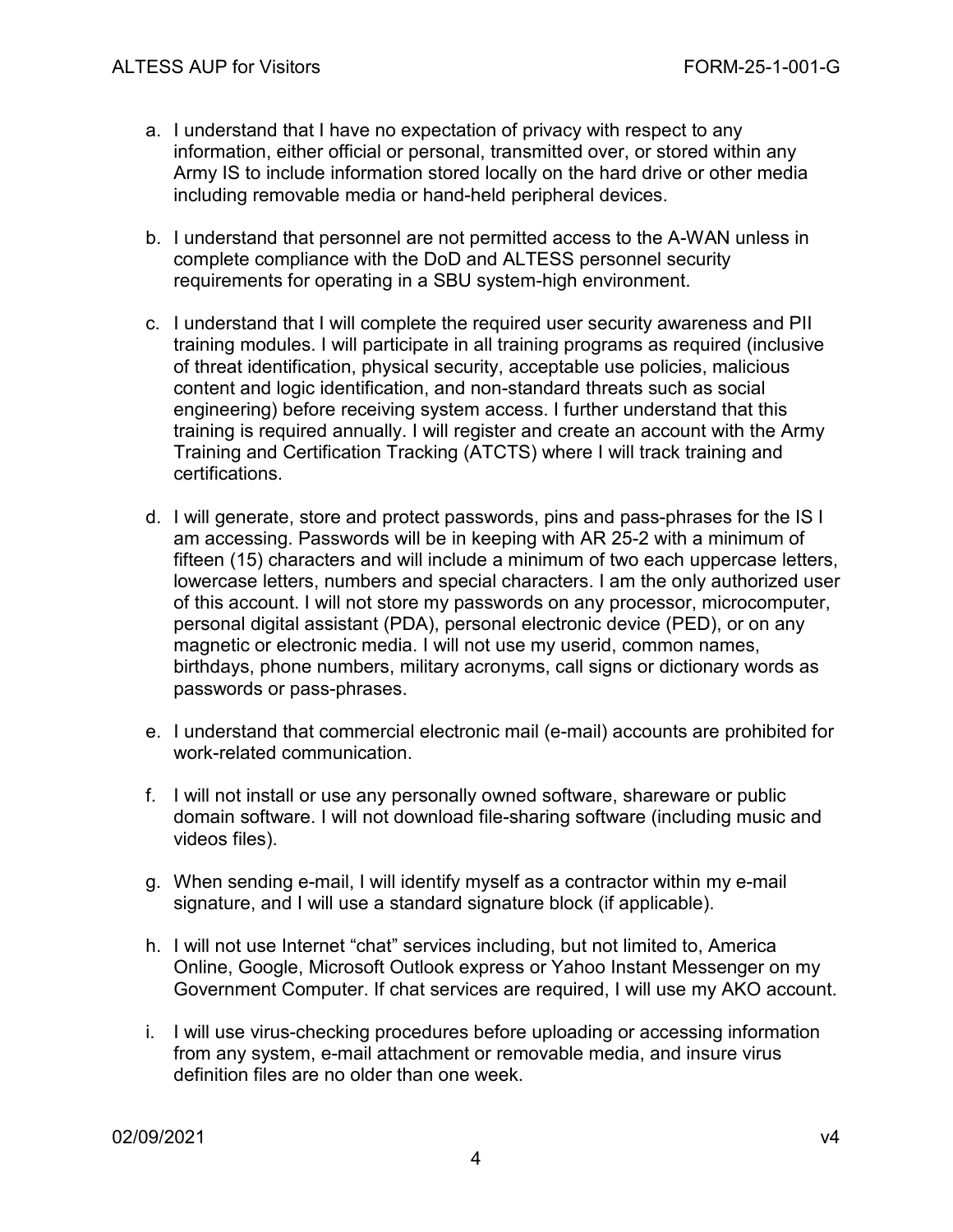- a. I understand that I have no expectation of privacy with respect to any information, either official or personal, transmitted over, or stored within any Army IS to include information stored locally on the hard drive or other media including removable media or hand-held peripheral devices.
- b. I understand that personnel are not permitted access to the A-WAN unless in complete compliance with the DoD and ALTESS personnel security requirements for operating in a SBU system-high environment.
- c. I understand that I will complete the required user security awareness and PII training modules. I will participate in all training programs as required (inclusive of threat identification, physical security, acceptable use policies, malicious content and logic identification, and non-standard threats such as social engineering) before receiving system access. I further understand that this training is required annually. I will register and create an account with the Army Training and Certification Tracking (ATCTS) where I will track training and certifications.
- d. I will generate, store and protect passwords, pins and pass-phrases for the IS I am accessing. Passwords will be in keeping with AR 25-2 with a minimum of fifteen (15) characters and will include a minimum of two each uppercase letters, lowercase letters, numbers and special characters. I am the only authorized user of this account. I will not store my passwords on any processor, microcomputer, personal digital assistant (PDA), personal electronic device (PED), or on any magnetic or electronic media. I will not use my userid, common names, birthdays, phone numbers, military acronyms, call signs or dictionary words as passwords or pass-phrases.
- e. I understand that commercial electronic mail (e-mail) accounts are prohibited for work-related communication.
- f. I will not install or use any personally owned software, shareware or public domain software. I will not download file-sharing software (including music and videos files).
- g. When sending e-mail, I will identify myself as a contractor within my e-mail signature, and I will use a standard signature block (if applicable).
- h. I will not use Internet "chat" services including, but not limited to, America Online, Google, Microsoft Outlook express or Yahoo Instant Messenger on my Government Computer. If chat services are required, I will use my AKO account.
- i. I will use virus-checking procedures before uploading or accessing information from any system, e-mail attachment or removable media, and insure virus definition files are no older than one week.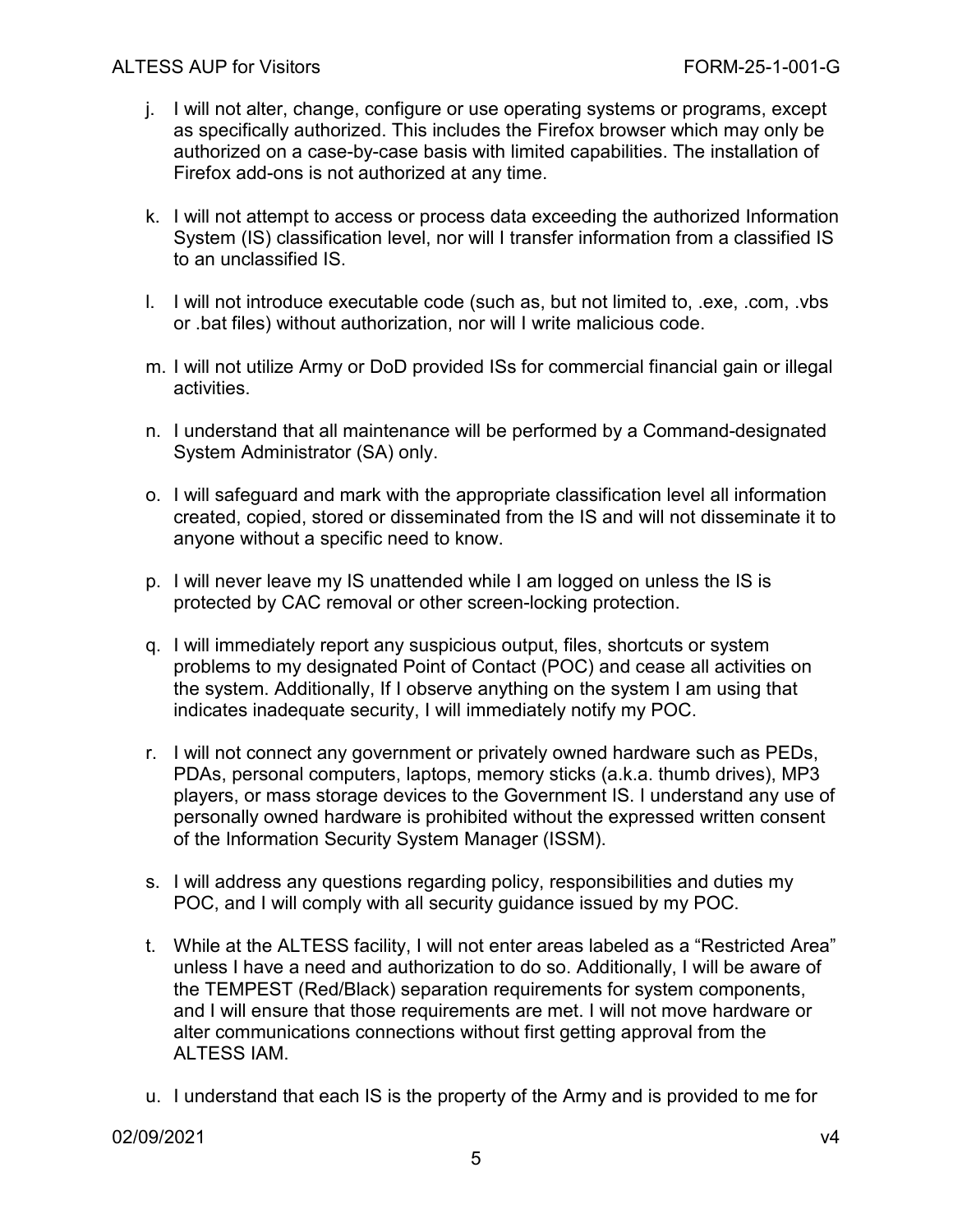- j. I will not alter, change, configure or use operating systems or programs, except as specifically authorized. This includes the Firefox browser which may only be authorized on a case-by-case basis with limited capabilities. The installation of Firefox add-ons is not authorized at any time.
- k. I will not attempt to access or process data exceeding the authorized Information System (IS) classification level, nor will I transfer information from a classified IS to an unclassified IS.
- l. I will not introduce executable code (such as, but not limited to, .exe, .com, .vbs or .bat files) without authorization, nor will I write malicious code.
- m. I will not utilize Army or DoD provided ISs for commercial financial gain or illegal activities.
- n. I understand that all maintenance will be performed by a Command-designated System Administrator (SA) only.
- o. I will safeguard and mark with the appropriate classification level all information created, copied, stored or disseminated from the IS and will not disseminate it to anyone without a specific need to know.
- p. I will never leave my IS unattended while I am logged on unless the IS is protected by CAC removal or other screen-locking protection.
- q. I will immediately report any suspicious output, files, shortcuts or system problems to my designated Point of Contact (POC) and cease all activities on the system. Additionally, If I observe anything on the system I am using that indicates inadequate security, I will immediately notify my POC.
- r. I will not connect any government or privately owned hardware such as PEDs, PDAs, personal computers, laptops, memory sticks (a.k.a. thumb drives), MP3 players, or mass storage devices to the Government IS. I understand any use of personally owned hardware is prohibited without the expressed written consent of the Information Security System Manager (ISSM).
- s. I will address any questions regarding policy, responsibilities and duties my POC, and I will comply with all security guidance issued by my POC.
- t. While at the ALTESS facility, I will not enter areas labeled as a "Restricted Area" unless I have a need and authorization to do so. Additionally, I will be aware of the TEMPEST (Red/Black) separation requirements for system components, and I will ensure that those requirements are met. I will not move hardware or alter communications connections without first getting approval from the ALTESS IAM.
- u. I understand that each IS is the property of the Army and is provided to me for

02/09/2021 v4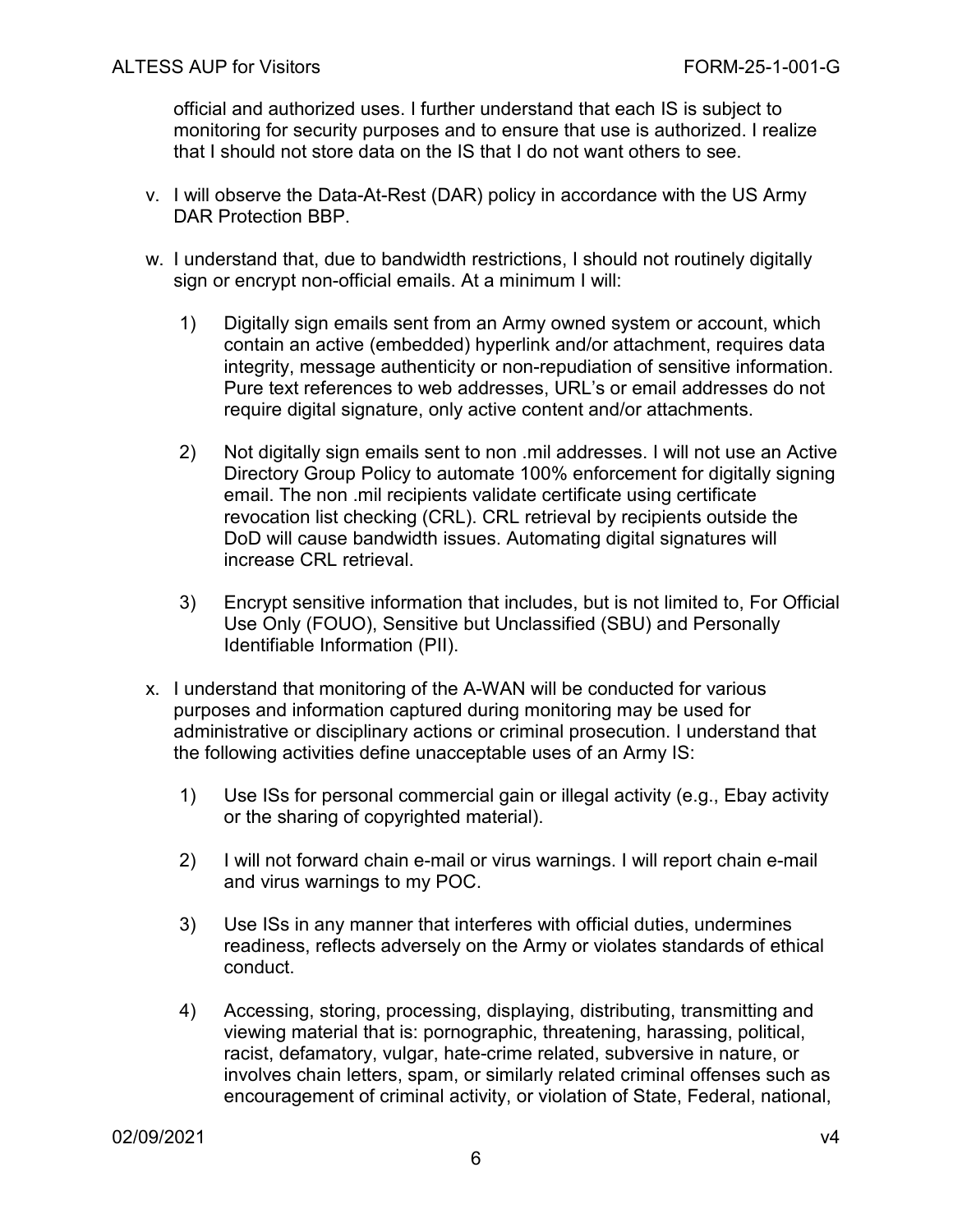official and authorized uses. I further understand that each IS is subject to monitoring for security purposes and to ensure that use is authorized. I realize that I should not store data on the IS that I do not want others to see.

- v. I will observe the Data-At-Rest (DAR) policy in accordance with the US Army DAR Protection BBP.
- w. I understand that, due to bandwidth restrictions, I should not routinely digitally sign or encrypt non-official emails. At a minimum I will:
	- 1) Digitally sign emails sent from an Army owned system or account, which contain an active (embedded) hyperlink and/or attachment, requires data integrity, message authenticity or non-repudiation of sensitive information. Pure text references to web addresses, URL's or email addresses do not require digital signature, only active content and/or attachments.
	- 2) Not digitally sign emails sent to non .mil addresses. I will not use an Active Directory Group Policy to automate 100% enforcement for digitally signing email. The non .mil recipients validate certificate using certificate revocation list checking (CRL). CRL retrieval by recipients outside the DoD will cause bandwidth issues. Automating digital signatures will increase CRL retrieval.
	- 3) Encrypt sensitive information that includes, but is not limited to, For Official Use Only (FOUO), Sensitive but Unclassified (SBU) and Personally Identifiable Information (PII).
- x. I understand that monitoring of the A-WAN will be conducted for various purposes and information captured during monitoring may be used for administrative or disciplinary actions or criminal prosecution. I understand that the following activities define unacceptable uses of an Army IS:
	- 1) Use ISs for personal commercial gain or illegal activity (e.g., Ebay activity or the sharing of copyrighted material).
	- 2) I will not forward chain e-mail or virus warnings. I will report chain e-mail and virus warnings to my POC.
	- 3) Use ISs in any manner that interferes with official duties, undermines readiness, reflects adversely on the Army or violates standards of ethical conduct.
	- 4) Accessing, storing, processing, displaying, distributing, transmitting and viewing material that is: pornographic, threatening, harassing, political, racist, defamatory, vulgar, hate-crime related, subversive in nature, or involves chain letters, spam, or similarly related criminal offenses such as encouragement of criminal activity, or violation of State, Federal, national,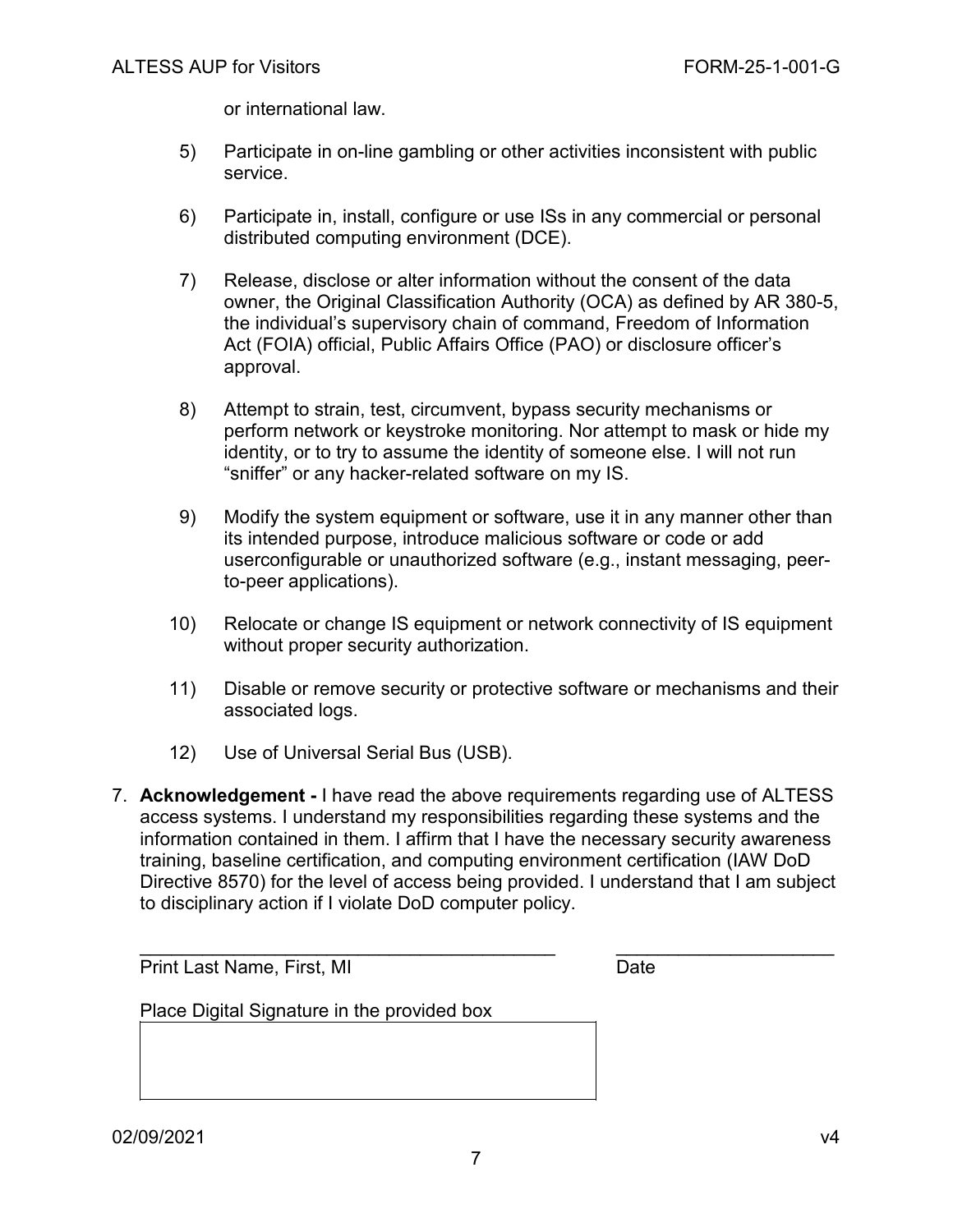or international law.

- 5) Participate in on-line gambling or other activities inconsistent with public service.
- 6) Participate in, install, configure or use ISs in any commercial or personal distributed computing environment (DCE).
- 7) Release, disclose or alter information without the consent of the data owner, the Original Classification Authority (OCA) as defined by AR 380-5, the individual's supervisory chain of command, Freedom of Information Act (FOIA) official, Public Affairs Office (PAO) or disclosure officer's approval.
- 8) Attempt to strain, test, circumvent, bypass security mechanisms or perform network or keystroke monitoring. Nor attempt to mask or hide my identity, or to try to assume the identity of someone else. I will not run "sniffer" or any hacker-related software on my IS.
- 9) Modify the system equipment or software, use it in any manner other than its intended purpose, introduce malicious software or code or add userconfigurable or unauthorized software (e.g., instant messaging, peerto-peer applications).
- 10) Relocate or change IS equipment or network connectivity of IS equipment without proper security authorization.
- 11) Disable or remove security or protective software or mechanisms and their associated logs.
- 12) Use of Universal Serial Bus (USB).
- 7. **Acknowledgement -** I have read the above requirements regarding use of ALTESS access systems. I understand my responsibilities regarding these systems and the information contained in them. I affirm that I have the necessary security awareness training, baseline certification, and computing environment certification (IAW DoD Directive 8570) for the level of access being provided. I understand that I am subject to disciplinary action if I violate DoD computer policy.

\_\_\_\_\_\_\_\_\_\_\_\_\_\_\_\_\_\_\_\_\_\_\_\_\_\_\_\_\_\_\_\_\_\_\_\_\_\_\_\_ \_\_\_\_\_\_\_\_\_\_\_\_\_\_\_\_\_\_\_\_\_

Print Last Name, First, MI Date

Place Digital Signature in the provided box